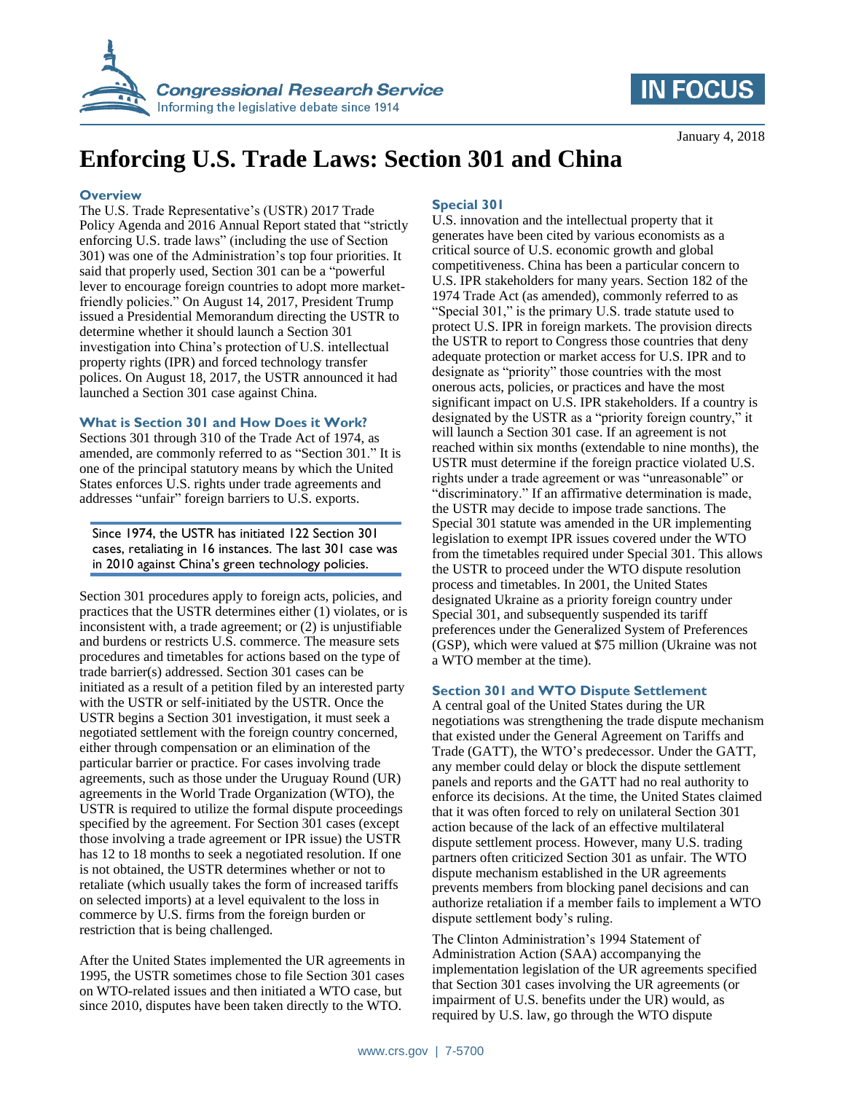



# **Enforcing U.S. Trade Laws: Section 301 and China**

### **Overview**

The U.S. Trade Representative's (USTR) 2017 Trade Policy Agenda and 2016 Annual Report stated that "strictly enforcing U.S. trade laws" (including the use of Section 301) was one of the Administration's top four priorities. It said that properly used, Section 301 can be a "powerful lever to encourage foreign countries to adopt more marketfriendly policies." On August 14, 2017, President Trump issued a Presidential Memorandum directing the USTR to determine whether it should launch a Section 301 investigation into China's protection of U.S. intellectual property rights (IPR) and forced technology transfer polices. On August 18, 2017, the USTR announced it had launched a Section 301 case against China.

## **What is Section 301 and How Does it Work?**

Sections 301 through 310 of the Trade Act of 1974, as amended, are commonly referred to as "Section 301." It is one of the principal statutory means by which the United States enforces U.S. rights under trade agreements and addresses "unfair" foreign barriers to U.S. exports.

Since 1974, the USTR has initiated 122 Section 301 cases, retaliating in 16 instances. The last 301 case was in 2010 against China's green technology policies.

Section 301 procedures apply to foreign acts, policies, and practices that the USTR determines either (1) violates, or is inconsistent with, a trade agreement; or (2) is unjustifiable and burdens or restricts U.S. commerce. The measure sets procedures and timetables for actions based on the type of trade barrier(s) addressed. Section 301 cases can be initiated as a result of a petition filed by an interested party with the USTR or self-initiated by the USTR. Once the USTR begins a Section 301 investigation, it must seek a negotiated settlement with the foreign country concerned, either through compensation or an elimination of the particular barrier or practice. For cases involving trade agreements, such as those under the Uruguay Round (UR) agreements in the World Trade Organization (WTO), the USTR is required to utilize the formal dispute proceedings specified by the agreement. For Section 301 cases (except those involving a trade agreement or IPR issue) the USTR has 12 to 18 months to seek a negotiated resolution. If one is not obtained, the USTR determines whether or not to retaliate (which usually takes the form of increased tariffs on selected imports) at a level equivalent to the loss in commerce by U.S. firms from the foreign burden or restriction that is being challenged.

After the United States implemented the UR agreements in 1995, the USTR sometimes chose to file Section 301 cases on WTO-related issues and then initiated a WTO case, but since 2010, disputes have been taken directly to the WTO.

# **Special 301**

U.S. innovation and the intellectual property that it generates have been cited by various economists as a critical source of U.S. economic growth and global competitiveness. China has been a particular concern to U.S. IPR stakeholders for many years. Section 182 of the 1974 Trade Act (as amended), commonly referred to as "Special 301," is the primary U.S. trade statute used to protect U.S. IPR in foreign markets. The provision directs the USTR to report to Congress those countries that deny adequate protection or market access for U.S. IPR and to designate as "priority" those countries with the most onerous acts, policies, or practices and have the most significant impact on U.S. IPR stakeholders. If a country is designated by the USTR as a "priority foreign country," it will launch a Section 301 case. If an agreement is not reached within six months (extendable to nine months), the USTR must determine if the foreign practice violated U.S. rights under a trade agreement or was "unreasonable" or "discriminatory." If an affirmative determination is made, the USTR may decide to impose trade sanctions. The Special 301 statute was amended in the UR implementing legislation to exempt IPR issues covered under the WTO from the timetables required under Special 301. This allows the USTR to proceed under the WTO dispute resolution process and timetables. In 2001, the United States designated Ukraine as a priority foreign country under Special 301, and subsequently suspended its tariff preferences under the Generalized System of Preferences (GSP), which were valued at \$75 million (Ukraine was not a WTO member at the time).

## **Section 301 and WTO Dispute Settlement**

A central goal of the United States during the UR negotiations was strengthening the trade dispute mechanism that existed under the General Agreement on Tariffs and Trade (GATT), the WTO's predecessor. Under the GATT, any member could delay or block the dispute settlement panels and reports and the GATT had no real authority to enforce its decisions. At the time, the United States claimed that it was often forced to rely on unilateral Section 301 action because of the lack of an effective multilateral dispute settlement process. However, many U.S. trading partners often criticized Section 301 as unfair. The WTO dispute mechanism established in the UR agreements prevents members from blocking panel decisions and can authorize retaliation if a member fails to implement a WTO dispute settlement body's ruling.

The Clinton Administration's 1994 Statement of Administration Action (SAA) accompanying the implementation legislation of the UR agreements specified that Section 301 cases involving the UR agreements (or impairment of U.S. benefits under the UR) would, as required by U.S. law, go through the WTO dispute